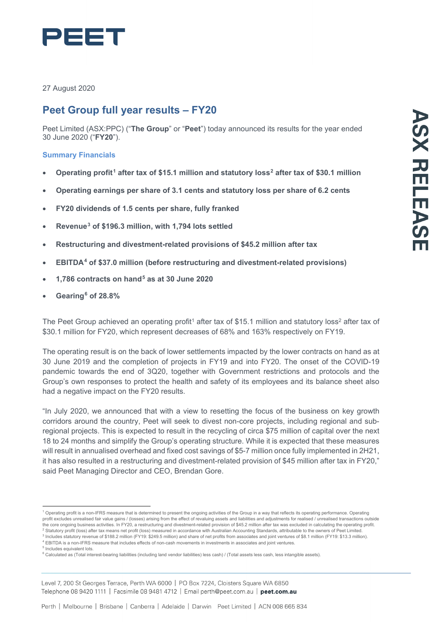

27 August 2020

# **Peet Group full year results – FY20**

Peet Limited (ASX:PPC) ("**The Group**" or "**Peet**") today announced its results for the year ended 30 June 2020 ("**FY20**").

## **Summary Financials**

- **Operating profit[1](#page-0-0) after tax of \$15.1 million and statutory loss[2](#page-0-1) after tax of \$30.1 million**
- **Operating earnings per share of 3.1 cents and statutory loss per share of 6.2 cents**
- **FY20 dividends of 1.5 cents per share, fully franked**
- **Revenue[3](#page-0-2) of \$196.3 million, with 1,794 lots settled**
- **Restructuring and divestment-related provisions of \$45.2 million after tax**
- **EBITDA[4](#page-0-3) of \$37.0 million (before restructuring and divestment-related provisions)**
- **1,786 contracts on hand[5](#page-0-4) as at 30 June 2020**
- **Gearing[6](#page-0-5) of 28.8%**

The Peet Group achieved an operating profit<sup>1</sup> after tax of \$15.1 million and statutory loss<sup>2</sup> after tax of \$30.1 million for FY20, which represent decreases of 68% and 163% respectively on FY19.

The operating result is on the back of lower settlements impacted by the lower contracts on hand as at 30 June 2019 and the completion of projects in FY19 and into FY20. The onset of the COVID-19 pandemic towards the end of 3Q20, together with Government restrictions and protocols and the Group's own responses to protect the health and safety of its employees and its balance sheet also had a negative impact on the FY20 results.

"In July 2020, we announced that with a view to resetting the focus of the business on key growth corridors around the country, Peet will seek to divest non-core projects, including regional and subregional projects. This is expected to result in the recycling of circa \$75 million of capital over the next 18 to 24 months and simplify the Group's operating structure. While it is expected that these measures will result in annualised overhead and fixed cost savings of \$5-7 million once fully implemented in 2H21, it has also resulted in a restructuring and divestment-related provision of \$45 million after tax in FY20," said Peet Managing Director and CEO, Brendan Gore.

<span id="page-0-0"></span><sup>1</sup> Operating profit is a non-IFRS measure that is determined to present the ongoing activities of the Group in a way that reflects its operating performance. Operating profit excludes unrealised fair value gains / (losses) arising from the effect of revaluing assets and liabilities and adjustments for realised / unrealised transactions outside the core ongoing business activities. In FY20, a restructuring and divestment-related provision of \$45.2 million after tax was excluded in calculating the operating profit.

<span id="page-0-2"></span><span id="page-0-1"></span><sup>2</sup> Statutory profit (loss) after tax means net profit (loss) measured in accordance with Australian Accounting Standards, attributable to the owners of Peet Limited. <sup>3</sup> Includes statutory revenue of \$188.2 million (FY19: \$249.5 million) and share of net profits from associates and joint ventures of \$8.1 million (FY19: \$13.3 million).

<span id="page-0-3"></span><sup>4</sup> EBITDA is a non-IFRS measure that includes effects of non-cash movements in investments in associates and joint ventures.

<sup>5</sup> Includes equivalent lots.

<span id="page-0-5"></span><span id="page-0-4"></span><sup>&</sup>lt;sup>6</sup> Calculated as (Total interest-bearing liabilities (including land vendor liabilities) less cash) / (Total assets less cash, less intangible assets).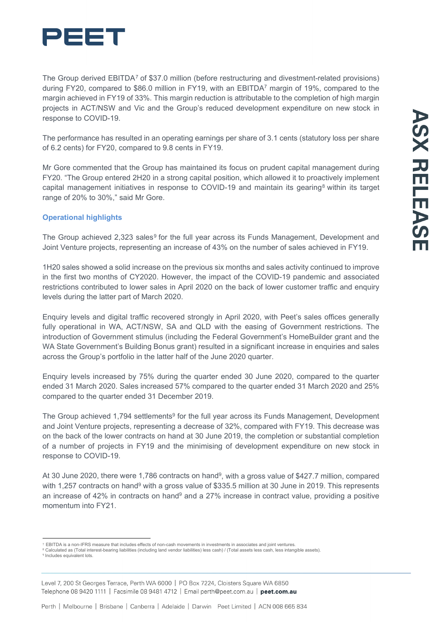

The Group derived EBITDA<sup>[7](#page-1-0)</sup> of \$37.0 million (before restructuring and divestment-related provisions) during FY20, compared to \$86.0 million in FY19, with an EBITDA7 margin of 19%, compared to the margin achieved in FY19 of 33%. This margin reduction is attributable to the completion of high margin projects in ACT/NSW and Vic and the Group's reduced development expenditure on new stock in response to COVID-19.

The performance has resulted in an operating earnings per share of 3.1 cents (statutory loss per share of 6.2 cents) for FY20, compared to 9.8 cents in FY19.

Mr Gore commented that the Group has maintained its focus on prudent capital management during FY20. "The Group entered 2H20 in a strong capital position, which allowed it to proactively implement capital management initiatives in response to COVID-19 and maintain its gearing<sup>[8](#page-1-1)</sup> within its target range of 20% to 30%," said Mr Gore.

### **Operational highlights**

The Group achieved 2,323 sales<sup>[9](#page-1-2)</sup> for the full year across its Funds Management, Development and Joint Venture projects, representing an increase of 43% on the number of sales achieved in FY19.

1H20 sales showed a solid increase on the previous six months and sales activity continued to improve in the first two months of CY2020. However, the impact of the COVID-19 pandemic and associated restrictions contributed to lower sales in April 2020 on the back of lower customer traffic and enquiry levels during the latter part of March 2020.

Enquiry levels and digital traffic recovered strongly in April 2020, with Peet's sales offices generally fully operational in WA, ACT/NSW, SA and QLD with the easing of Government restrictions. The introduction of Government stimulus (including the Federal Government's HomeBuilder grant and the WA State Government's Building Bonus grant) resulted in a significant increase in enquiries and sales across the Group's portfolio in the latter half of the June 2020 quarter.

Enquiry levels increased by 75% during the quarter ended 30 June 2020, compared to the quarter ended 31 March 2020. Sales increased 57% compared to the quarter ended 31 March 2020 and 25% compared to the quarter ended 31 December 2019.

The Group achieved 1,794 settlements<sup>9</sup> for the full year across its Funds Management, Development and Joint Venture projects, representing a decrease of 32%, compared with FY19. This decrease was on the back of the lower contracts on hand at 30 June 2019, the completion or substantial completion of a number of projects in FY19 and the minimising of development expenditure on new stock in response to COVID-19.

At 30 June 2020, there were 1,786 contracts on hand<sup>9</sup>, with a gross value of \$427.7 million, compared with 1,257 contracts on hand<sup>9</sup> with a gross value of \$335.5 million at 30 June in 2019. This represents an increase of 42% in contracts on hand<sup>9</sup> and a 27% increase in contract value, providing a positive momentum into FY21.

<span id="page-1-1"></span><span id="page-1-0"></span><sup>7</sup> EBITDA is a non-IFRS measure that includes effects of non-cash movements in investments in associates and joint ventures.

<span id="page-1-2"></span><sup>&</sup>lt;sup>8</sup> Calculated as (Total interest-bearing liabilities (including land vendor liabilities) less cash) / (Total assets less cash, less intangible assets).<br><sup>9</sup> Includes equivalent lots.

Level 7, 200 St Georges Terrace, Perth WA 6000 | PO Box 7224, Cloisters Square WA 6850 Telephone 08 9420 1111 | Facsimile 08 9481 4712 | Email perth@peet.com.au | peet.com.au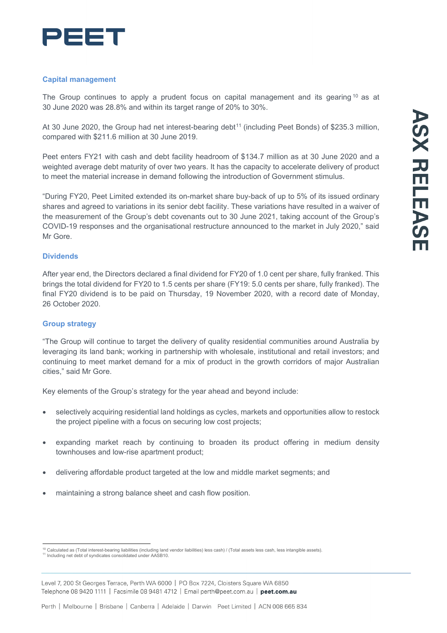

#### **Capital management**

The Group continues to apply a prudent focus on capital management and its gearing  $10$  as at 30 June 2020 was 28.8% and within its target range of 20% to 30%.

At 30 June 2020, the Group had net interest-bearing debt<sup>[11](#page-2-1)</sup> (including Peet Bonds) of \$235.3 million, compared with \$211.6 million at 30 June 2019.

Peet enters FY21 with cash and debt facility headroom of \$134.7 million as at 30 June 2020 and a weighted average debt maturity of over two years. It has the capacity to accelerate delivery of product to meet the material increase in demand following the introduction of Government stimulus.

"During FY20, Peet Limited extended its on-market share buy-back of up to 5% of its issued ordinary shares and agreed to variations in its senior debt facility. These variations have resulted in a waiver of the measurement of the Group's debt covenants out to 30 June 2021, taking account of the Group's COVID-19 responses and the organisational restructure announced to the market in July 2020," said Mr Gore.

#### **Dividends**

After year end, the Directors declared a final dividend for FY20 of 1.0 cent per share, fully franked. This brings the total dividend for FY20 to 1.5 cents per share (FY19: 5.0 cents per share, fully franked). The final FY20 dividend is to be paid on Thursday, 19 November 2020, with a record date of Monday, 26 October 2020.

#### **Group strategy**

"The Group will continue to target the delivery of quality residential communities around Australia by leveraging its land bank; working in partnership with wholesale, institutional and retail investors; and continuing to meet market demand for a mix of product in the growth corridors of major Australian cities," said Mr Gore.

Key elements of the Group's strategy for the year ahead and beyond include:

- selectively acquiring residential land holdings as cycles, markets and opportunities allow to restock the project pipeline with a focus on securing low cost projects;
- expanding market reach by continuing to broaden its product offering in medium density townhouses and low-rise apartment product;
- delivering affordable product targeted at the low and middle market segments; and
- maintaining a strong balance sheet and cash flow position.

<span id="page-2-1"></span><span id="page-2-0"></span><sup>&</sup>lt;sup>10</sup> Calculated as (Total interest-bearing liabilities (including land vendor liabilities) less cash) / (Total assets less cash, less intangible assets). <sup>11</sup> Including net debt of syndicates consolidated under AASB10.

Level 7, 200 St Georges Terrace, Perth WA 6000 | PO Box 7224, Cloisters Square WA 6850 Telephone 08 9420 1111 | Facsimile 08 9481 4712 | Email perth@peet.com.au | peet.com.au